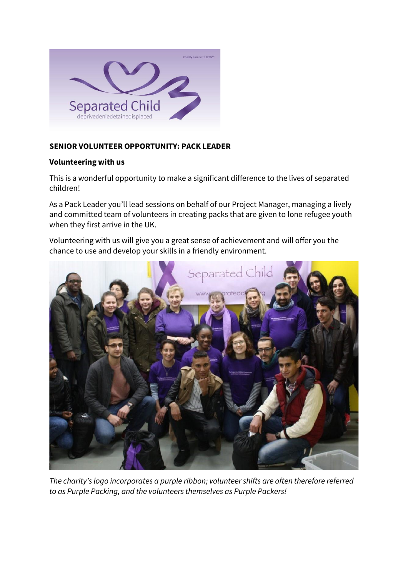

# **SENIOR VOLUNTEER OPPORTUNITY: PACK LEADER**

## **Volunteering with us**

This is a wonderful opportunity to make a significant difference to the lives of separated children!

As a Pack Leader you'll lead sessions on behalf of our Project Manager, managing a lively and committed team of volunteers in creating packs that are given to lone refugee youth when they first arrive in the UK.

Volunteering with us will give you a great sense of achievement and will offer you the chance to use and develop your skills in a friendly environment.



*The charity's logo incorporates a purple ribbon; volunteer shifts are often therefore referred to as Purple Packing, and the volunteers themselves as Purple Packers!*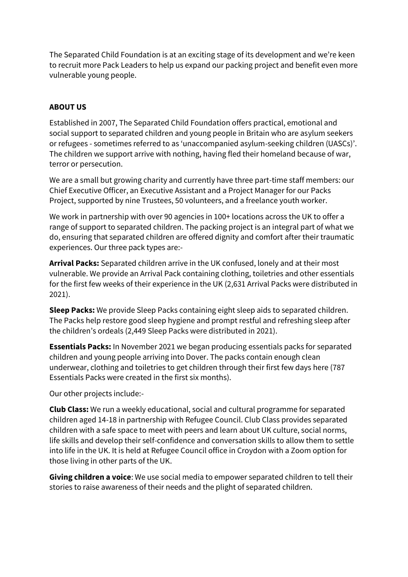The Separated Child Foundation is at an exciting stage of its development and we're keen to recruit more Pack Leaders to help us expand our packing project and benefit even more vulnerable young people.

## **ABOUT US**

Established in 2007, The Separated Child Foundation offers practical, emotional and social support to separated children and young people in Britain who are asylum seekers or refugees - sometimes referred to as 'unaccompanied asylum-seeking children (UASCs)'. The children we support arrive with nothing, having fled their homeland because of war, terror or persecution.

We are a small but growing charity and currently have three part-time staff members: our Chief Executive Officer, an Executive Assistant and a Project Manager for our Packs Project, supported by nine Trustees, 50 volunteers, and a freelance youth worker.

We work in partnership with over 90 agencies in 100+ locations across the UK to offer a range of support to separated children. The packing project is an integral part of what we do, ensuring that separated children are offered dignity and comfort after their traumatic experiences. Our three pack types are:-

**Arrival Packs:** Separated children arrive in the UK confused, lonely and at their most vulnerable. We provide an Arrival Pack containing clothing, toiletries and other essentials for the first few weeks of their experience in the UK (2,631 Arrival Packs were distributed in 2021).

**Sleep Packs:** We provide Sleep Packs containing eight sleep aids to separated children. The Packs help restore good sleep hygiene and prompt restful and refreshing sleep after the children's ordeals (2,449 Sleep Packs were distributed in 2021).

**Essentials Packs:** In November 2021 we began producing essentials packs for separated children and young people arriving into Dover. The packs contain enough clean underwear, clothing and toiletries to get children through their first few days here (787 Essentials Packs were created in the first six months).

Our other projects include:-

**Club Class:** We run a weekly educational, social and cultural programme for separated children aged 14-18 in partnership with Refugee Council. Club Class provides separated children with a safe space to meet with peers and learn about UK culture, social norms, life skills and develop their self-confidence and conversation skills to allow them to settle into life in the UK. It is held at Refugee Council office in Croydon with a Zoom option for those living in other parts of the UK.

**Giving children a voice**: We use social media to empower separated children to tell their stories to raise awareness of their needs and the plight of separated children.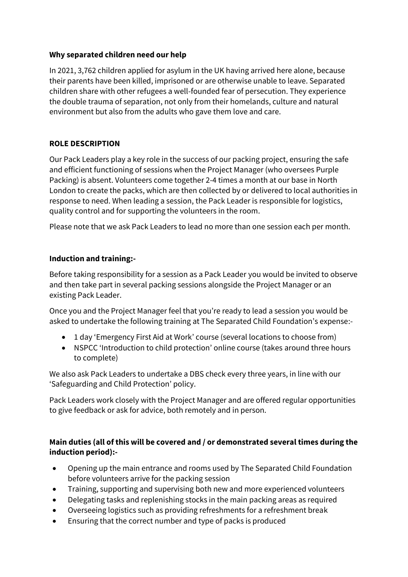## **Why separated children need our help**

In 2021, 3,762 children applied for asylum in the UK having arrived here alone, because their parents have been killed, imprisoned or are otherwise unable to leave. Separated children share with other refugees a well-founded fear of persecution. They experience the double trauma of separation, not only from their homelands, culture and natural environment but also from the adults who gave them love and care.

# **ROLE DESCRIPTION**

Our Pack Leaders play a key role in the success of our packing project, ensuring the safe and efficient functioning of sessions when the Project Manager (who oversees Purple Packing) is absent. Volunteers come together 2-4 times a month at our base in North London to create the packs, which are then collected by or delivered to local authorities in response to need. When leading a session, the Pack Leader is responsible for logistics, quality control and for supporting the volunteers in the room.

Please note that we ask Pack Leaders to lead no more than one session each per month.

# **Induction and training:-**

Before taking responsibility for a session as a Pack Leader you would be invited to observe and then take part in several packing sessions alongside the Project Manager or an existing Pack Leader.

Once you and the Project Manager feel that you're ready to lead a session you would be asked to undertake the following training at The Separated Child Foundation's expense:-

- 1 day 'Emergency First Aid at Work' course (several locations to choose from)
- NSPCC 'Introduction to child protection' online course (takes around three hours to complete)

We also ask Pack Leaders to undertake a DBS check every three years, in line with our 'Safeguarding and Child Protection' policy.

Pack Leaders work closely with the Project Manager and are offered regular opportunities to give feedback or ask for advice, both remotely and in person.

# **Main duties (all of this will be covered and / or demonstrated several times during the induction period):-**

- Opening up the main entrance and rooms used by The Separated Child Foundation before volunteers arrive for the packing session
- Training, supporting and supervising both new and more experienced volunteers
- Delegating tasks and replenishing stocks in the main packing areas as required
- Overseeing logistics such as providing refreshments for a refreshment break
- Ensuring that the correct number and type of packs is produced